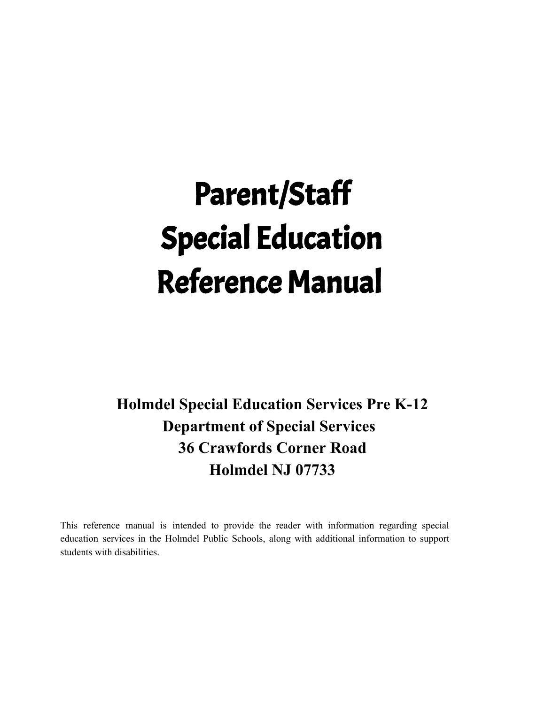# Parent/Staff Special Education Reference Manual

**Holmdel Special Education Services Pre K-12 Department of Special Services 36 Crawfords Corner Road Holmdel NJ 07733**

This reference manual is intended to provide the reader with information regarding special education services in the Holmdel Public Schools, along with additional information to support students with disabilities.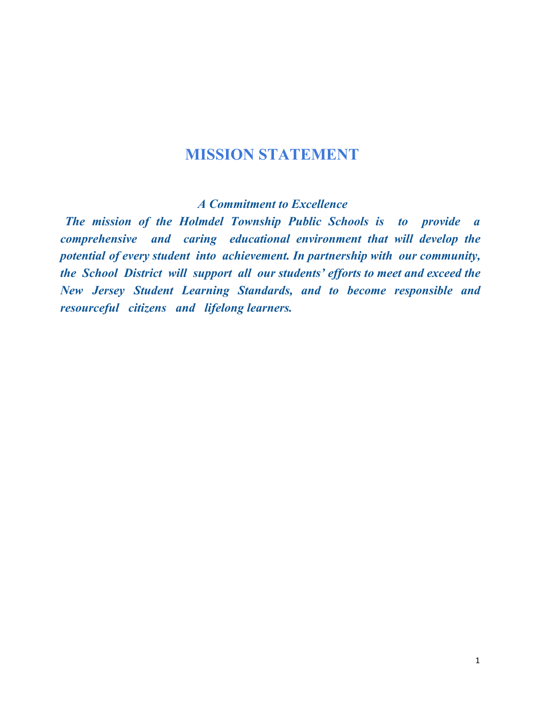# **MISSION STATEMENT**

*A Commitment to Excellence*

*The mission of the Holmdel Township Public Schools is to provide a comprehensive and caring educational environment that will develop the potential of every student into achievement. In partnership with our community, the School District will support all our students' ef orts to meet and exceed the New Jersey Student Learning Standards, and to become responsible and resourceful citizens and lifelong learners.*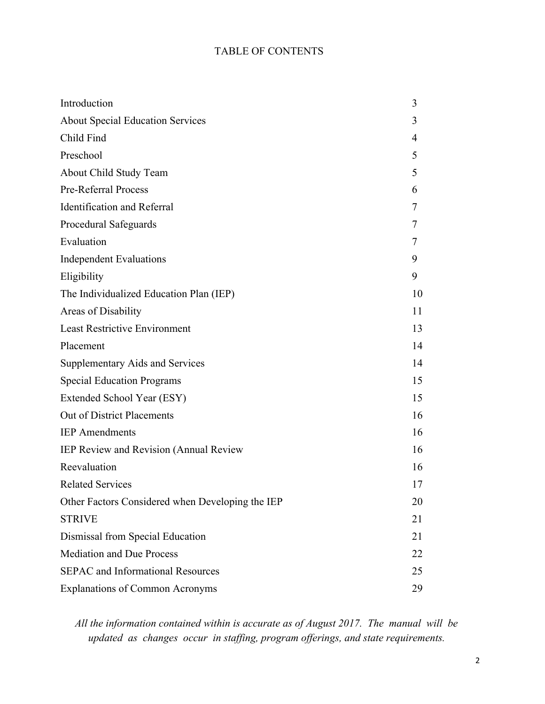## TABLE OF CONTENTS

| Introduction                                     | 3  |
|--------------------------------------------------|----|
| <b>About Special Education Services</b>          | 3  |
| Child Find                                       | 4  |
| Preschool                                        | 5  |
| About Child Study Team                           | 5  |
| Pre-Referral Process                             | 6  |
| <b>Identification and Referral</b>               | 7  |
| Procedural Safeguards                            | 7  |
| Evaluation                                       |    |
| <b>Independent Evaluations</b>                   | 9  |
| Eligibility                                      | 9  |
| The Individualized Education Plan (IEP)          | 10 |
| Areas of Disability                              | 11 |
| <b>Least Restrictive Environment</b>             | 13 |
| Placement                                        | 14 |
| <b>Supplementary Aids and Services</b>           | 14 |
| <b>Special Education Programs</b>                | 15 |
| Extended School Year (ESY)                       | 15 |
| Out of District Placements                       | 16 |
| <b>IEP</b> Amendments                            | 16 |
| IEP Review and Revision (Annual Review           | 16 |
| Reevaluation                                     | 16 |
| <b>Related Services</b>                          | 17 |
| Other Factors Considered when Developing the IEP | 20 |
| <b>STRIVE</b>                                    | 21 |
| Dismissal from Special Education                 | 21 |
| <b>Mediation and Due Process</b>                 | 22 |
| <b>SEPAC</b> and Informational Resources         | 25 |
| <b>Explanations of Common Acronyms</b>           |    |

*All the information contained within is accurate as of August 2017. The manual will be updated as changes occur in staffing, program offerings, and state requirements.*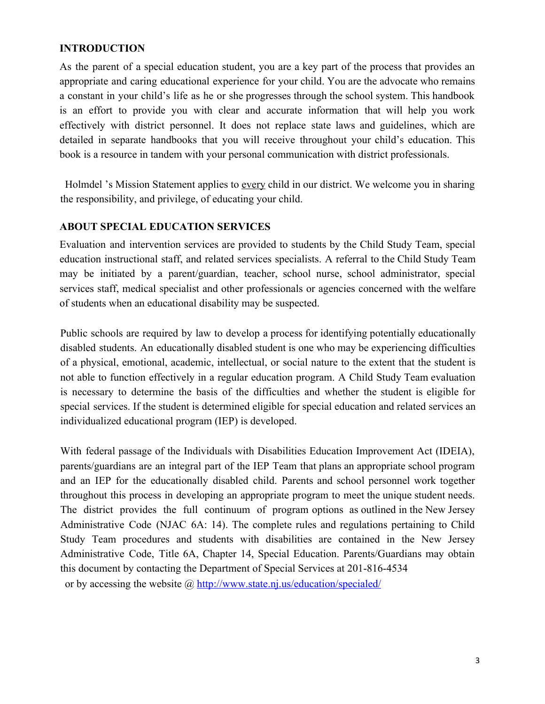## **INTRODUCTION**

As the parent of a special education student, you are a key part of the process that provides an appropriate and caring educational experience for your child. You are the advocate who remains a constant in your child's life as he or she progresses through the school system. This handbook is an effort to provide you with clear and accurate information that will help you work effectively with district personnel. It does not replace state laws and guidelines, which are detailed in separate handbooks that you will receive throughout your child's education. This book is a resource in tandem with your personal communication with district professionals.

Holmdel 's Mission Statement applies to every child in our district. We welcome you in sharing the responsibility, and privilege, of educating your child.

## **ABOUT SPECIAL EDUCATION SERVICES**

Evaluation and intervention services are provided to students by the Child Study Team, special education instructional staff, and related services specialists. A referral to the Child Study Team may be initiated by a parent/guardian, teacher, school nurse, school administrator, special services staff, medical specialist and other professionals or agencies concerned with the welfare of students when an educational disability may be suspected.

Public schools are required by law to develop a process for identifying potentially educationally disabled students. An educationally disabled student is one who may be experiencing difficulties of a physical, emotional, academic, intellectual, or social nature to the extent that the student is not able to function effectively in a regular education program. A Child Study Team evaluation is necessary to determine the basis of the difficulties and whether the student is eligible for special services. If the student is determined eligible for special education and related services an individualized educational program (IEP) is developed.

With federal passage of the Individuals with Disabilities Education Improvement Act (IDEIA), parents/guardians are an integral part of the IEP Team that plans an appropriate school program and an IEP for the educationally disabled child. Parents and school personnel work together throughout this process in developing an appropriate program to meet the unique student needs. The district provides the full continuum of program options as outlined in the New Jersey Administrative Code (NJAC 6A: 14). The complete rules and regulations pertaining to Child Study Team procedures and students with disabilities are contained in the New Jersey Administrative Code, Title 6A, Chapter 14, Special Education. Parents/Guardians may obtain this document by contacting the Department of Special Services at 201-816-4534 or by accessing the website @<http://www.state.nj.us/education/specialed/>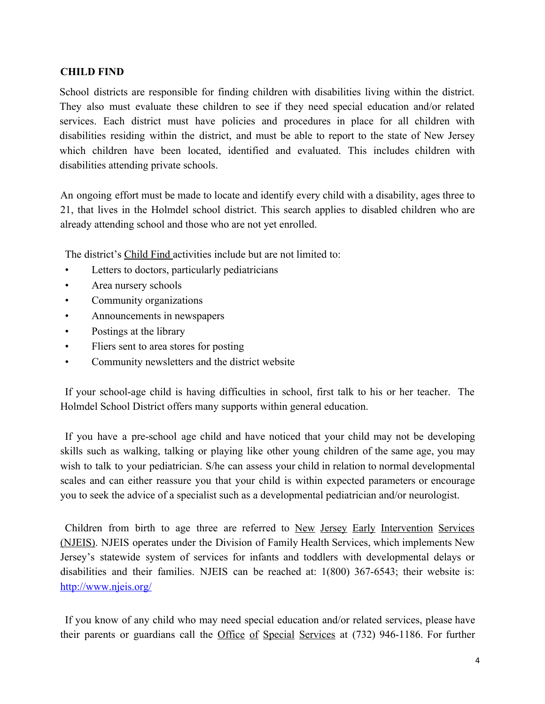## **CHILD FIND**

School districts are responsible for finding children with disabilities living within the district. They also must evaluate these children to see if they need special education and/or related services. Each district must have policies and procedures in place for all children with disabilities residing within the district, and must be able to report to the state of New Jersey which children have been located, identified and evaluated. This includes children with disabilities attending private schools.

An ongoing effort must be made to locate and identify every child with a disability, ages three to 21, that lives in the Holmdel school district. This search applies to disabled children who are already attending school and those who are not yet enrolled.

The district's Child Find activities include but are not limited to:

- Letters to doctors, particularly pediatricians
- Area nursery schools
- Community organizations
- Announcements in newspapers
- Postings at the library
- Fliers sent to area stores for posting
- Community newsletters and the district website

If your school-age child is having difficulties in school, first talk to his or her teacher. The Holmdel School District offers many supports within general education.

If you have a pre-school age child and have noticed that your child may not be developing skills such as walking, talking or playing like other young children of the same age, you may wish to talk to your pediatrician. S/he can assess your child in relation to normal developmental scales and can either reassure you that your child is within expected parameters or encourage you to seek the advice of a specialist such as a developmental pediatrician and/or neurologist.

Children from birth to age three are referred to New Jersey Early Intervention Services (NJEIS). NJEIS operates under the Division of Family Health Services, which implements New Jersey's statewide system of services for infants and toddlers with developmental delays or disabilities and their families. NJEIS can be reached at: 1(800) 367-6543; their website is: <http://www.njeis.org/>

If you know of any child who may need special education and/or related services, please have their parents or guardians call the Office of Special Services at (732) 946-1186. For further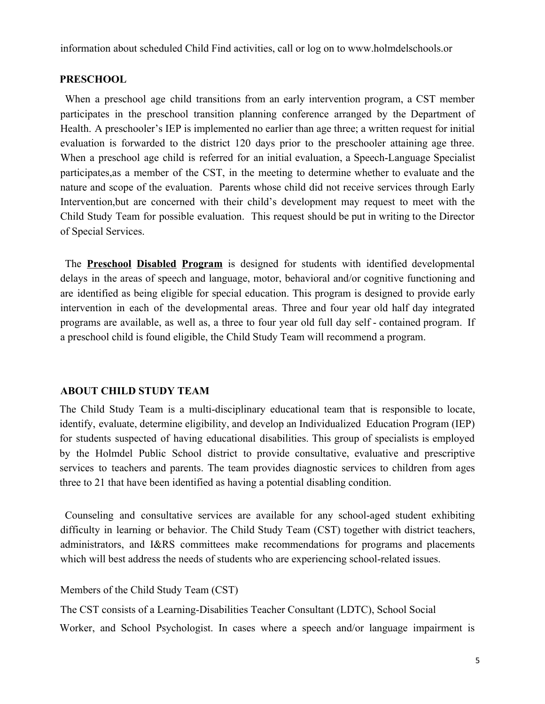information about scheduled Child Find activities, call or log on to www.holmdelschools.or

#### **PRESCHOOL**

When a preschool age child transitions from an early intervention program, a CST member participates in the preschool transition planning conference arranged by the Department of Health. A preschooler's IEP is implemented no earlier than age three; a written request for initial evaluation is forwarded to the district 120 days prior to the preschooler attaining age three. When a preschool age child is referred for an initial evaluation, a Speech-Language Specialist participates,as a member of the CST, in the meeting to determine whether to evaluate and the nature and scope of the evaluation. Parents whose child did not receive services through Early Intervention,but are concerned with their child's development may request to meet with the Child Study Team for possible evaluation. This request should be put in writing to the Director of Special Services.

The **Preschool Disabled Program** is designed for students with identified developmental delays in the areas of speech and language, motor, behavioral and/or cognitive functioning and are identified as being eligible for special education. This program is designed to provide early intervention in each of the developmental areas. Three and four year old half day integrated programs are available, as well as, a three to four year old full day self - contained program. If a preschool child is found eligible, the Child Study Team will recommend a program.

#### **ABOUT CHILD STUDY TEAM**

The Child Study Team is a multi-disciplinary educational team that is responsible to locate, identify, evaluate, determine eligibility, and develop an Individualized Education Program (IEP) for students suspected of having educational disabilities. This group of specialists is employed by the Holmdel Public School district to provide consultative, evaluative and prescriptive services to teachers and parents. The team provides diagnostic services to children from ages three to 21 that have been identified as having a potential disabling condition.

Counseling and consultative services are available for any school-aged student exhibiting difficulty in learning or behavior. The Child Study Team (CST) together with district teachers, administrators, and I&RS committees make recommendations for programs and placements which will best address the needs of students who are experiencing school-related issues.

Members of the Child Study Team (CST)

The CST consists of a Learning-Disabilities Teacher Consultant (LDTC), School Social Worker, and School Psychologist. In cases where a speech and/or language impairment is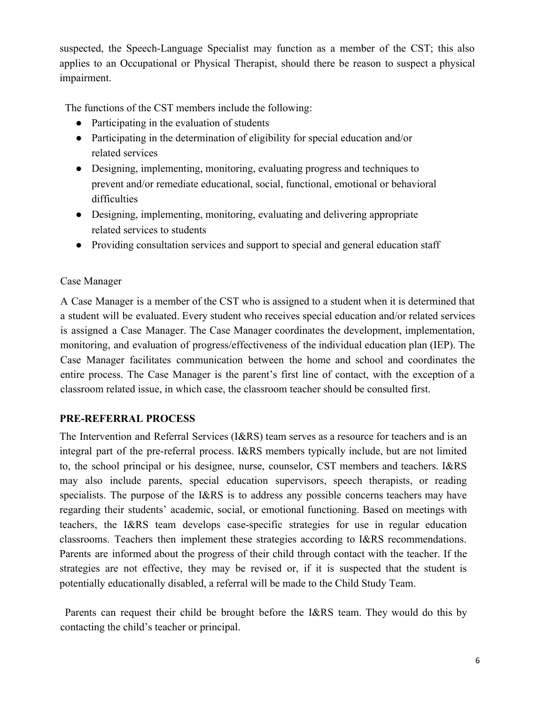suspected, the Speech-Language Specialist may function as a member of the CST; this also applies to an Occupational or Physical Therapist, should there be reason to suspect a physical impairment.

The functions of the CST members include the following:

- Participating in the evaluation of students
- Participating in the determination of eligibility for special education and/or related services
- Designing, implementing, monitoring, evaluating progress and techniques to prevent and/or remediate educational, social, functional, emotional or behavioral difficulties
- Designing, implementing, monitoring, evaluating and delivering appropriate related services to students
- Providing consultation services and support to special and general education staff

## Case Manager

A Case Manager is a member of the CST who is assigned to a student when it is determined that a student will be evaluated. Every student who receives special education and/or related services is assigned a Case Manager. The Case Manager coordinates the development, implementation, monitoring, and evaluation of progress/effectiveness of the individual education plan (IEP). The Case Manager facilitates communication between the home and school and coordinates the entire process. The Case Manager is the parent's first line of contact, with the exception of a classroom related issue, in which case, the classroom teacher should be consulted first.

## **PRE-REFERRAL PROCESS**

The Intervention and Referral Services (I&RS) team serves as a resource for teachers and is an integral part of the pre-referral process. I&RS members typically include, but are not limited to, the school principal or his designee, nurse, counselor, CST members and teachers. I&RS may also include parents, special education supervisors, speech therapists, or reading specialists. The purpose of the I&RS is to address any possible concerns teachers may have regarding their students' academic, social, or emotional functioning. Based on meetings with teachers, the I&RS team develops case-specific strategies for use in regular education classrooms. Teachers then implement these strategies according to I&RS recommendations. Parents are informed about the progress of their child through contact with the teacher. If the strategies are not effective, they may be revised or, if it is suspected that the student is potentially educationally disabled, a referral will be made to the Child Study Team.

Parents can request their child be brought before the I&RS team. They would do this by contacting the child's teacher or principal.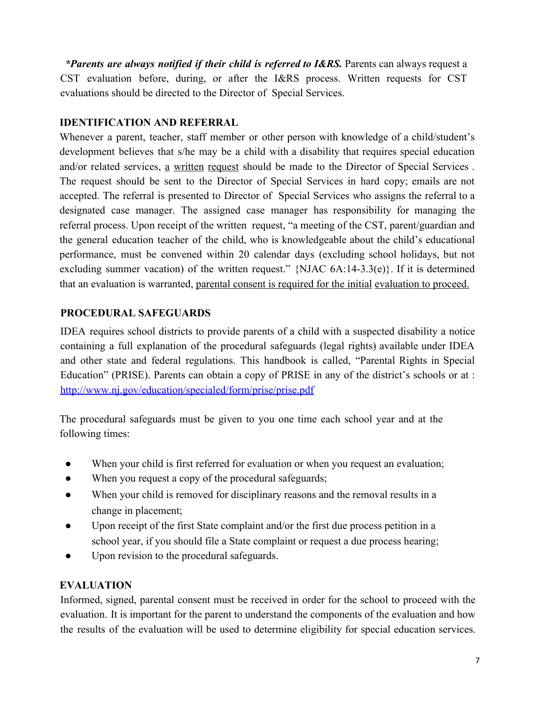*\*Parents are always notified if their child is referred to I&RS.* Parents can always request a CST evaluation before, during, or after the I&RS process. Written requests for CST evaluations should be directed to the Director of Special Services.

## **IDENTIFICATION AND REFERRAL**

Whenever a parent, teacher, staff member or other person with knowledge of a child/student's development believes that s/he may be a child with a disability that requires special education and/or related services, a written request should be made to the Director of Special Services . The request should be sent to the Director of Special Services in hard copy; emails are not accepted. The referral is presented to Director of Special Services who assigns the referral to a designated case manager. The assigned case manager has responsibility for managing the referral process. Upon receipt of the written request, "a meeting of the CST, parent/guardian and the general education teacher of the child, who is knowledgeable about the child's educational performance, must be convened within 20 calendar days (excluding school holidays, but not excluding summer vacation) of the written request."  $\{NJAC 6A:14-3.3(e)\}$ . If it is determined that an evaluation is warranted, parental consent is required for the initial evaluation to proceed.

## **PROCEDURAL SAFEGUARDS**

IDEA requires school districts to provide parents of a child with a suspected disability a notice containing a full explanation of the procedural safeguards (legal rights) available under IDEA and other state and federal regulations. This handbook is called, "Parental Rights in Special Education" (PRISE). Parents can obtain a copy of PRISE in any of the district's schools or at : <http://www.nj.gov/education/specialed/form/prise/prise.pdf>

The procedural safeguards must be given to you one time each school year and at the following times:

- When your child is first referred for evaluation or when you request an evaluation;
- When you request a copy of the procedural safeguards;
- When your child is removed for disciplinary reasons and the removal results in a change in placement;
- Upon receipt of the first State complaint and/or the first due process petition in a school year, if you should file a State complaint or request a due process hearing;
- Upon revision to the procedural safeguards.

## **EVALUATION**

Informed, signed, parental consent must be received in order for the school to proceed with the evaluation. It is important for the parent to understand the components of the evaluation and how the results of the evaluation will be used to determine eligibility for special education services.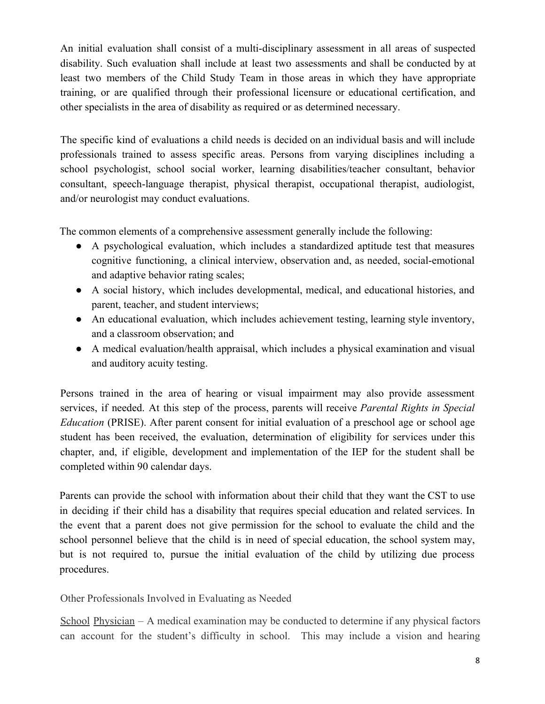An initial evaluation shall consist of a multi-disciplinary assessment in all areas of suspected disability. Such evaluation shall include at least two assessments and shall be conducted by at least two members of the Child Study Team in those areas in which they have appropriate training, or are qualified through their professional licensure or educational certification, and other specialists in the area of disability as required or as determined necessary.

The specific kind of evaluations a child needs is decided on an individual basis and will include professionals trained to assess specific areas. Persons from varying disciplines including a school psychologist, school social worker, learning disabilities/teacher consultant, behavior consultant, speech-language therapist, physical therapist, occupational therapist, audiologist, and/or neurologist may conduct evaluations.

The common elements of a comprehensive assessment generally include the following:

- A psychological evaluation, which includes a standardized aptitude test that measures cognitive functioning, a clinical interview, observation and, as needed, social-emotional and adaptive behavior rating scales;
- A social history, which includes developmental, medical, and educational histories, and parent, teacher, and student interviews;
- An educational evaluation, which includes achievement testing, learning style inventory, and a classroom observation; and
- A medical evaluation/health appraisal, which includes a physical examination and visual and auditory acuity testing.

Persons trained in the area of hearing or visual impairment may also provide assessment services, if needed. At this step of the process, parents will receive *Parental Rights in Special Education* (PRISE). After parent consent for initial evaluation of a preschool age or school age student has been received, the evaluation, determination of eligibility for services under this chapter, and, if eligible, development and implementation of the IEP for the student shall be completed within 90 calendar days.

Parents can provide the school with information about their child that they want the CST to use in deciding if their child has a disability that requires special education and related services. In the event that a parent does not give permission for the school to evaluate the child and the school personnel believe that the child is in need of special education, the school system may, but is not required to, pursue the initial evaluation of the child by utilizing due process procedures.

Other Professionals Involved in Evaluating as Needed

School Physician – A medical examination may be conducted to determine if any physical factors can account for the student's difficulty in school. This may include a vision and hearing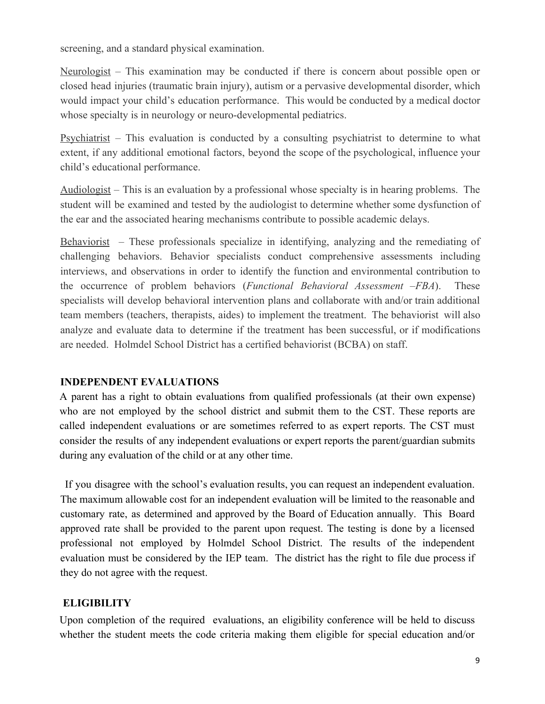screening, and a standard physical examination.

Neurologist – This examination may be conducted if there is concern about possible open or closed head injuries (traumatic brain injury), autism or a pervasive developmental disorder, which would impact your child's education performance. This would be conducted by a medical doctor whose specialty is in neurology or neuro-developmental pediatrics.

Psychiatrist – This evaluation is conducted by a consulting psychiatrist to determine to what extent, if any additional emotional factors, beyond the scope of the psychological, influence your child's educational performance.

Audiologist – This is an evaluation by a professional whose specialty is in hearing problems. The student will be examined and tested by the audiologist to determine whether some dysfunction of the ear and the associated hearing mechanisms contribute to possible academic delays.

Behaviorist – These professionals specialize in identifying, analyzing and the remediating of challenging behaviors. Behavior specialists conduct comprehensive assessments including interviews, and observations in order to identify the function and environmental contribution to the occurrence of problem behaviors (*Functional Behavioral Assessment –FBA*). These specialists will develop behavioral intervention plans and collaborate with and/or train additional team members (teachers, therapists, aides) to implement the treatment. The behaviorist will also analyze and evaluate data to determine if the treatment has been successful, or if modifications are needed. Holmdel School District has a certified behaviorist (BCBA) on staff.

#### **INDEPENDENT EVALUATIONS**

A parent has a right to obtain evaluations from qualified professionals (at their own expense) who are not employed by the school district and submit them to the CST. These reports are called independent evaluations or are sometimes referred to as expert reports. The CST must consider the results of any independent evaluations or expert reports the parent/guardian submits during any evaluation of the child or at any other time.

If you disagree with the school's evaluation results, you can request an independent evaluation. The maximum allowable cost for an independent evaluation will be limited to the reasonable and customary rate, as determined and approved by the Board of Education annually. This Board approved rate shall be provided to the parent upon request. The testing is done by a licensed professional not employed by Holmdel School District. The results of the independent evaluation must be considered by the IEP team. The district has the right to file due process if they do not agree with the request.

## **ELIGIBILITY**

Upon completion of the required evaluations, an eligibility conference will be held to discuss whether the student meets the code criteria making them eligible for special education and/or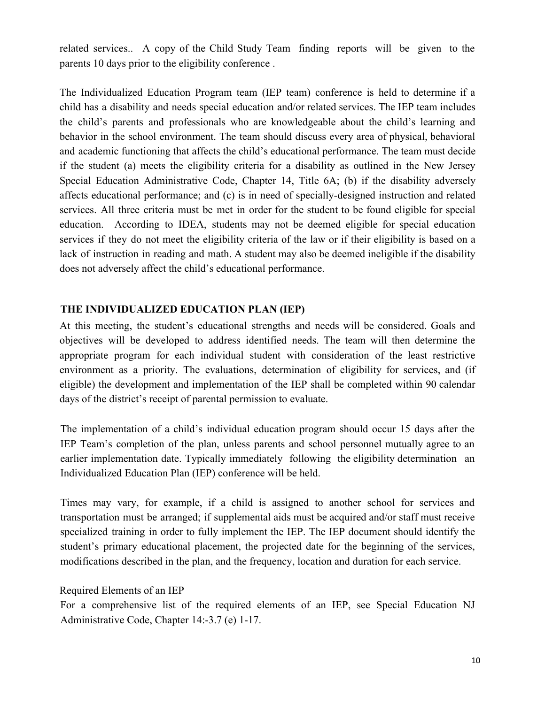related services.. A copy of the Child Study Team finding reports will be given to the parents 10 days prior to the eligibility conference .

The Individualized Education Program team (IEP team) conference is held to determine if a child has a disability and needs special education and/or related services. The IEP team includes the child's parents and professionals who are knowledgeable about the child's learning and behavior in the school environment. The team should discuss every area of physical, behavioral and academic functioning that affects the child's educational performance. The team must decide if the student (a) meets the eligibility criteria for a disability as outlined in the New Jersey Special Education Administrative Code, Chapter 14, Title 6A; (b) if the disability adversely affects educational performance; and (c) is in need of specially-designed instruction and related services. All three criteria must be met in order for the student to be found eligible for special education. According to IDEA, students may not be deemed eligible for special education services if they do not meet the eligibility criteria of the law or if their eligibility is based on a lack of instruction in reading and math. A student may also be deemed ineligible if the disability does not adversely affect the child's educational performance.

#### **THE INDIVIDUALIZED EDUCATION PLAN (IEP)**

At this meeting, the student's educational strengths and needs will be considered. Goals and objectives will be developed to address identified needs. The team will then determine the appropriate program for each individual student with consideration of the least restrictive environment as a priority. The evaluations, determination of eligibility for services, and (if eligible) the development and implementation of the IEP shall be completed within 90 calendar days of the district's receipt of parental permission to evaluate.

The implementation of a child's individual education program should occur 15 days after the IEP Team's completion of the plan, unless parents and school personnel mutually agree to an earlier implementation date. Typically immediately following the eligibility determination an Individualized Education Plan (IEP) conference will be held.

Times may vary, for example, if a child is assigned to another school for services and transportation must be arranged; if supplemental aids must be acquired and/or staff must receive specialized training in order to fully implement the IEP. The IEP document should identify the student's primary educational placement, the projected date for the beginning of the services, modifications described in the plan, and the frequency, location and duration for each service.

#### Required Elements of an IEP

For a comprehensive list of the required elements of an IEP, see Special Education NJ Administrative Code, Chapter 14:-3.7 (e) 1-17.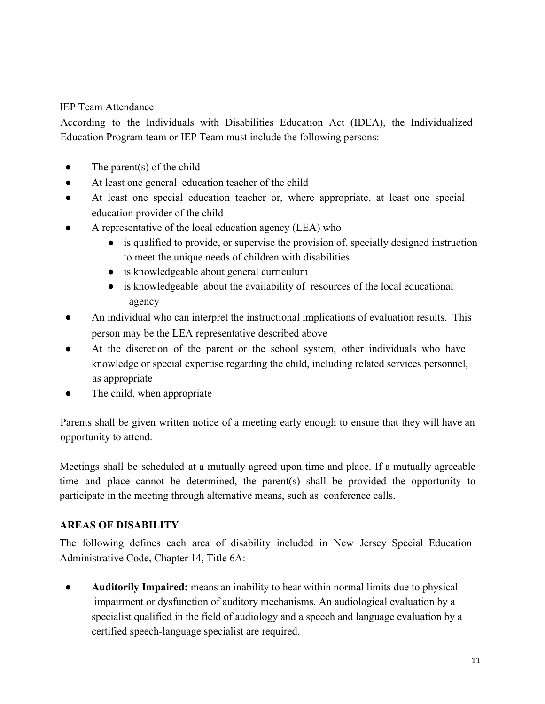## IEP Team Attendance

According to the Individuals with Disabilities Education Act (IDEA), the Individualized Education Program team or IEP Team must include the following persons:

- $\bullet$  The parent(s) of the child
- At least one general education teacher of the child
- At least one special education teacher or, where appropriate, at least one special education provider of the child
- A representative of the local education agency (LEA) who
	- is qualified to provide, or supervise the provision of, specially designed instruction to meet the unique needs of children with disabilities
	- is knowledgeable about general curriculum
	- is knowledgeable about the availability of resources of the local educational agency
- An individual who can interpret the instructional implications of evaluation results. This person may be the LEA representative described above
- At the discretion of the parent or the school system, other individuals who have knowledge or special expertise regarding the child, including related services personnel, as appropriate
- The child, when appropriate

Parents shall be given written notice of a meeting early enough to ensure that they will have an opportunity to attend.

Meetings shall be scheduled at a mutually agreed upon time and place. If a mutually agreeable time and place cannot be determined, the parent(s) shall be provided the opportunity to participate in the meeting through alternative means, such as conference calls.

## **AREAS OF DISABILITY**

The following defines each area of disability included in New Jersey Special Education Administrative Code, Chapter 14, Title 6A:

● **Auditorily Impaired:** means an inability to hear within normal limits due to physical impairment or dysfunction of auditory mechanisms. An audiological evaluation by a specialist qualified in the field of audiology and a speech and language evaluation by a certified speech-language specialist are required.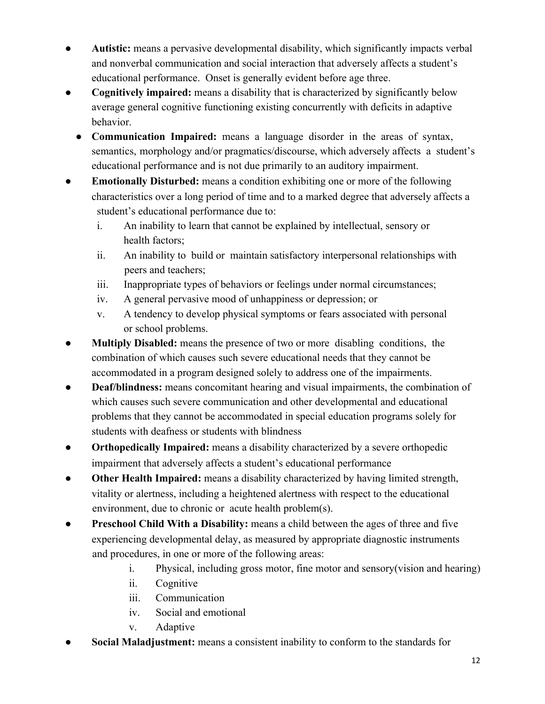- Autistic: means a pervasive developmental disability, which significantly impacts verbal and nonverbal communication and social interaction that adversely affects a student's educational performance. Onset is generally evident before age three.
- **Cognitively impaired:** means a disability that is characterized by significantly below average general cognitive functioning existing concurrently with deficits in adaptive behavior.
	- **Communication Impaired:** means a language disorder in the areas of syntax, semantics, morphology and/or pragmatics/discourse, which adversely affects a student's educational performance and is not due primarily to an auditory impairment.
- **Emotionally Disturbed:** means a condition exhibiting one or more of the following characteristics over a long period of time and to a marked degree that adversely affects a student's educational performance due to:
	- i. An inability to learn that cannot be explained by intellectual, sensory or health factors;
	- ii. An inability to build or maintain satisfactory interpersonal relationships with peers and teachers;
	- iii. Inappropriate types of behaviors or feelings under normal circumstances;
	- iv. A general pervasive mood of unhappiness or depression; or
	- v. A tendency to develop physical symptoms or fears associated with personal or school problems.
- **Multiply Disabled:** means the presence of two or more disabling conditions, the combination of which causes such severe educational needs that they cannot be accommodated in a program designed solely to address one of the impairments.
- **Deaf/blindness:** means concomitant hearing and visual impairments, the combination of which causes such severe communication and other developmental and educational problems that they cannot be accommodated in special education programs solely for students with deafness or students with blindness
- **Orthopedically Impaired:** means a disability characterized by a severe orthopedic impairment that adversely affects a student's educational performance
- **Other Health Impaired:** means a disability characterized by having limited strength, vitality or alertness, including a heightened alertness with respect to the educational environment, due to chronic or acute health problem(s).
- **Preschool Child With a Disability:** means a child between the ages of three and five experiencing developmental delay, as measured by appropriate diagnostic instruments and procedures, in one or more of the following areas:
	- i. Physical, including gross motor, fine motor and sensory(vision and hearing)
	- ii. Cognitive
	- iii. Communication
	- iv. Social and emotional
	- v. Adaptive
- **Social Maladjustment:** means a consistent inability to conform to the standards for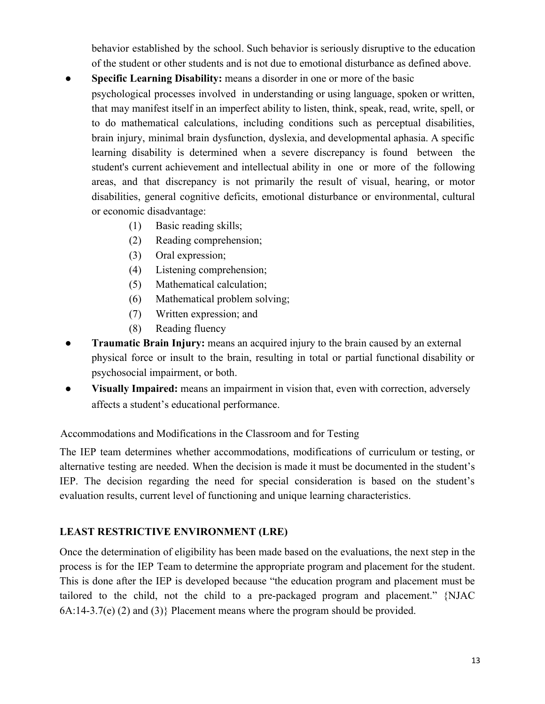behavior established by the school. Such behavior is seriously disruptive to the education of the student or other students and is not due to emotional disturbance as defined above.

- **Specific Learning Disability:** means a disorder in one or more of the basic psychological processes involved in understanding or using language, spoken or written, that may manifest itself in an imperfect ability to listen, think, speak, read, write, spell, or to do mathematical calculations, including conditions such as perceptual disabilities, brain injury, minimal brain dysfunction, dyslexia, and developmental aphasia. A specific learning disability is determined when a severe discrepancy is found between the student's current achievement and intellectual ability in one or more of the following areas, and that discrepancy is not primarily the result of visual, hearing, or motor disabilities, general cognitive deficits, emotional disturbance or environmental, cultural or economic disadvantage:
	- (1) Basic reading skills;
	- (2) Reading comprehension;
	- (3) Oral expression;
	- (4) Listening comprehension;
	- (5) Mathematical calculation;
	- (6) Mathematical problem solving;
	- (7) Written expression; and
	- (8) Reading fluency
- **Traumatic Brain Injury:** means an acquired injury to the brain caused by an external physical force or insult to the brain, resulting in total or partial functional disability or psychosocial impairment, or both.
- **Visually Impaired:** means an impairment in vision that, even with correction, adversely affects a student's educational performance.

#### Accommodations and Modifications in the Classroom and for Testing

The IEP team determines whether accommodations, modifications of curriculum or testing, or alternative testing are needed. When the decision is made it must be documented in the student's IEP. The decision regarding the need for special consideration is based on the student's evaluation results, current level of functioning and unique learning characteristics.

#### **LEAST RESTRICTIVE ENVIRONMENT (LRE)**

Once the determination of eligibility has been made based on the evaluations, the next step in the process is for the IEP Team to determine the appropriate program and placement for the student. This is done after the IEP is developed because "the education program and placement must be tailored to the child, not the child to a pre-packaged program and placement." {NJAC 6A:14-3.7(e) (2) and (3)} Placement means where the program should be provided.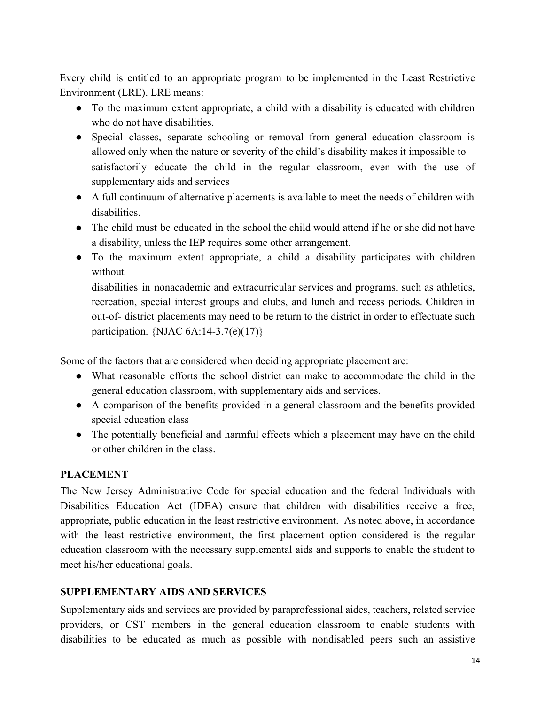Every child is entitled to an appropriate program to be implemented in the Least Restrictive Environment (LRE). LRE means:

- To the maximum extent appropriate, a child with a disability is educated with children who do not have disabilities.
- Special classes, separate schooling or removal from general education classroom is allowed only when the nature or severity of the child's disability makes it impossible to satisfactorily educate the child in the regular classroom, even with the use of supplementary aids and services
- A full continuum of alternative placements is available to meet the needs of children with disabilities.
- The child must be educated in the school the child would attend if he or she did not have a disability, unless the IEP requires some other arrangement.
- To the maximum extent appropriate, a child a disability participates with children without

disabilities in nonacademic and extracurricular services and programs, such as athletics, recreation, special interest groups and clubs, and lunch and recess periods. Children in out-of- district placements may need to be return to the district in order to effectuate such participation. {NJAC  $6A:14-3.7(e)(17)$ }

Some of the factors that are considered when deciding appropriate placement are:

- What reasonable efforts the school district can make to accommodate the child in the general education classroom, with supplementary aids and services.
- A comparison of the benefits provided in a general classroom and the benefits provided special education class
- The potentially beneficial and harmful effects which a placement may have on the child or other children in the class.

## **PLACEMENT**

The New Jersey Administrative Code for special education and the federal Individuals with Disabilities Education Act (IDEA) ensure that children with disabilities receive a free, appropriate, public education in the least restrictive environment. As noted above, in accordance with the least restrictive environment, the first placement option considered is the regular education classroom with the necessary supplemental aids and supports to enable the student to meet his/her educational goals.

#### **SUPPLEMENTARY AIDS AND SERVICES**

Supplementary aids and services are provided by paraprofessional aides, teachers, related service providers, or CST members in the general education classroom to enable students with disabilities to be educated as much as possible with nondisabled peers such an assistive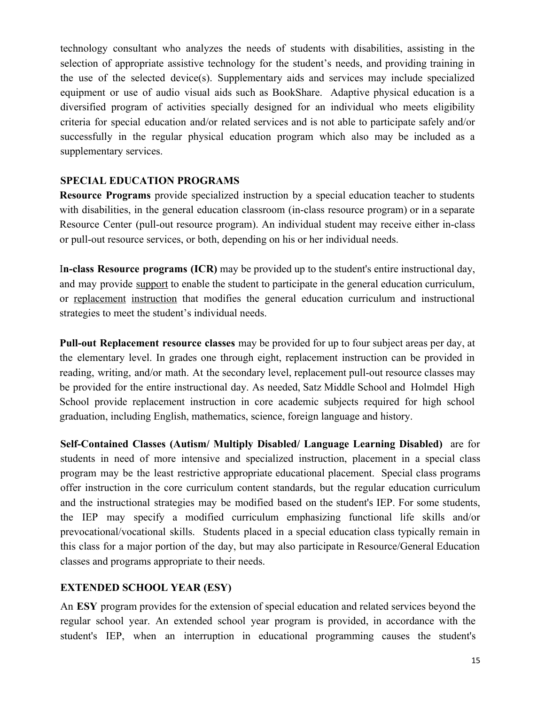technology consultant who analyzes the needs of students with disabilities, assisting in the selection of appropriate assistive technology for the student's needs, and providing training in the use of the selected device(s). Supplementary aids and services may include specialized equipment or use of audio visual aids such as BookShare. Adaptive physical education is a diversified program of activities specially designed for an individual who meets eligibility criteria for special education and/or related services and is not able to participate safely and/or successfully in the regular physical education program which also may be included as a supplementary services.

#### **SPECIAL EDUCATION PROGRAMS**

**Resource Programs** provide specialized instruction by a special education teacher to students with disabilities, in the general education classroom (in-class resource program) or in a separate Resource Center (pull-out resource program). An individual student may receive either in-class or pull-out resource services, or both, depending on his or her individual needs.

I**n-class Resource programs (ICR)** may be provided up to the student's entire instructional day, and may provide support to enable the student to participate in the general education curriculum, or replacement instruction that modifies the general education curriculum and instructional strategies to meet the student's individual needs.

**Pull-out Replacement resource classes** may be provided for up to four subject areas per day, at the elementary level. In grades one through eight, replacement instruction can be provided in reading, writing, and/or math. At the secondary level, replacement pull-out resource classes may be provided for the entire instructional day. As needed, Satz Middle School and Holmdel High School provide replacement instruction in core academic subjects required for high school graduation, including English, mathematics, science, foreign language and history.

**Self-Contained Classes (Autism/ Multiply Disabled/ Language Learning Disabled)** are for students in need of more intensive and specialized instruction, placement in a special class program may be the least restrictive appropriate educational placement. Special class programs offer instruction in the core curriculum content standards, but the regular education curriculum and the instructional strategies may be modified based on the student's IEP. For some students, the IEP may specify a modified curriculum emphasizing functional life skills and/or prevocational/vocational skills. Students placed in a special education class typically remain in this class for a major portion of the day, but may also participate in Resource/General Education classes and programs appropriate to their needs.

#### **EXTENDED SCHOOL YEAR (ESY)**

An **ESY** program provides for the extension of special education and related services beyond the regular school year. An extended school year program is provided, in accordance with the student's IEP, when an interruption in educational programming causes the student's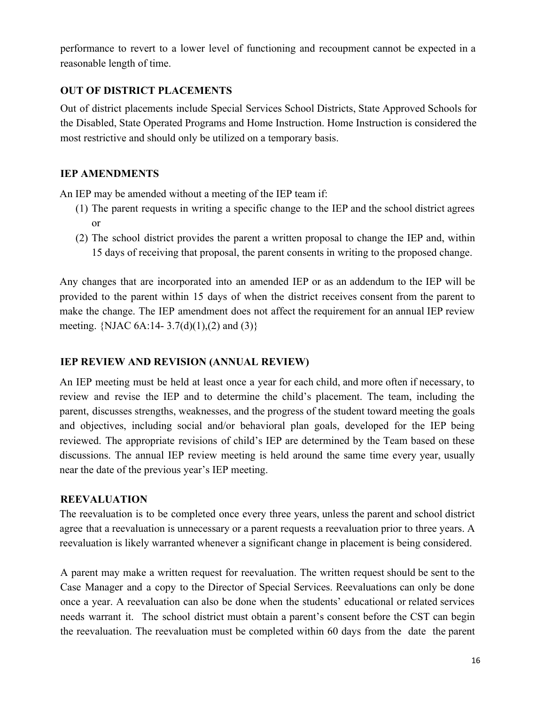performance to revert to a lower level of functioning and recoupment cannot be expected in a reasonable length of time.

## **OUT OF DISTRICT PLACEMENTS**

Out of district placements include Special Services School Districts, State Approved Schools for the Disabled, State Operated Programs and Home Instruction. Home Instruction is considered the most restrictive and should only be utilized on a temporary basis.

## **IEP AMENDMENTS**

An IEP may be amended without a meeting of the IEP team if:

- (1) The parent requests in writing a specific change to the IEP and the school district agrees or
- (2) The school district provides the parent a written proposal to change the IEP and, within 15 days of receiving that proposal, the parent consents in writing to the proposed change.

Any changes that are incorporated into an amended IEP or as an addendum to the IEP will be provided to the parent within 15 days of when the district receives consent from the parent to make the change. The IEP amendment does not affect the requirement for an annual IEP review meeting. {NJAC  $6A:14-3.7(d)(1),(2)$  and  $(3)$ }

## **IEP REVIEW AND REVISION (ANNUAL REVIEW)**

An IEP meeting must be held at least once a year for each child, and more often if necessary, to review and revise the IEP and to determine the child's placement. The team, including the parent, discusses strengths, weaknesses, and the progress of the student toward meeting the goals and objectives, including social and/or behavioral plan goals, developed for the IEP being reviewed. The appropriate revisions of child's IEP are determined by the Team based on these discussions. The annual IEP review meeting is held around the same time every year, usually near the date of the previous year's IEP meeting.

## **REEVALUATION**

The reevaluation is to be completed once every three years, unless the parent and school district agree that a reevaluation is unnecessary or a parent requests a reevaluation prior to three years. A reevaluation is likely warranted whenever a significant change in placement is being considered.

A parent may make a written request for reevaluation. The written request should be sent to the Case Manager and a copy to the Director of Special Services. Reevaluations can only be done once a year. A reevaluation can also be done when the students' educational or related services needs warrant it. The school district must obtain a parent's consent before the CST can begin the reevaluation. The reevaluation must be completed within 60 days from the date the parent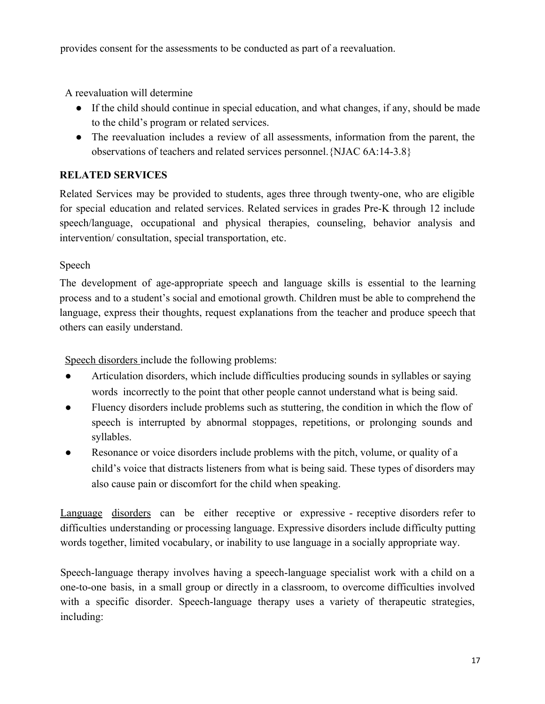provides consent for the assessments to be conducted as part of a reevaluation.

A reevaluation will determine

- If the child should continue in special education, and what changes, if any, should be made to the child's program or related services.
- The reevaluation includes a review of all assessments, information from the parent, the observations of teachers and related services personnel.{NJAC 6A:14-3.8}

## **RELATED SERVICES**

Related Services may be provided to students, ages three through twenty-one, who are eligible for special education and related services. Related services in grades Pre-K through 12 include speech/language, occupational and physical therapies, counseling, behavior analysis and intervention/ consultation, special transportation, etc.

## Speech

The development of age-appropriate speech and language skills is essential to the learning process and to a student's social and emotional growth. Children must be able to comprehend the language, express their thoughts, request explanations from the teacher and produce speech that others can easily understand.

Speech disorders include the following problems:

- Articulation disorders, which include difficulties producing sounds in syllables or saying words incorrectly to the point that other people cannot understand what is being said.
- Fluency disorders include problems such as stuttering, the condition in which the flow of speech is interrupted by abnormal stoppages, repetitions, or prolonging sounds and syllables.
- Resonance or voice disorders include problems with the pitch, volume, or quality of a child's voice that distracts listeners from what is being said. These types of disorders may also cause pain or discomfort for the child when speaking.

Language disorders can be either receptive or expressive - receptive disorders refer to difficulties understanding or processing language. Expressive disorders include difficulty putting words together, limited vocabulary, or inability to use language in a socially appropriate way.

Speech-language therapy involves having a speech-language specialist work with a child on a one-to-one basis, in a small group or directly in a classroom, to overcome difficulties involved with a specific disorder. Speech-language therapy uses a variety of therapeutic strategies, including: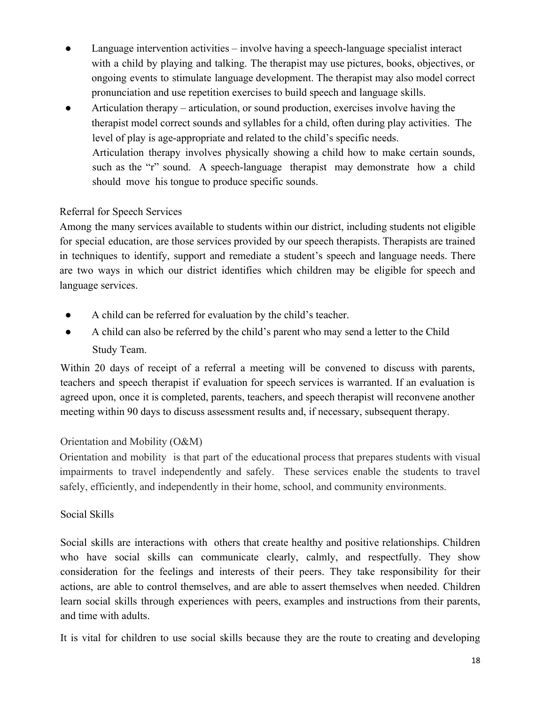- Language intervention activities involve having a speech-language specialist interact with a child by playing and talking. The therapist may use pictures, books, objectives, or ongoing events to stimulate language development. The therapist may also model correct pronunciation and use repetition exercises to build speech and language skills.
- Articulation therapy articulation, or sound production, exercises involve having the therapist model correct sounds and syllables for a child, often during play activities. The level of play is age-appropriate and related to the child's specific needs. Articulation therapy involves physically showing a child how to make certain sounds, such as the "r" sound. A speech-language therapist may demonstrate how a child should move his tongue to produce specific sounds.

## Referral for Speech Services

Among the many services available to students within our district, including students not eligible for special education, are those services provided by our speech therapists. Therapists are trained in techniques to identify, support and remediate a student's speech and language needs. There are two ways in which our district identifies which children may be eligible for speech and language services.

- A child can be referred for evaluation by the child's teacher.
- A child can also be referred by the child's parent who may send a letter to the Child Study Team.

Within 20 days of receipt of a referral a meeting will be convened to discuss with parents, teachers and speech therapist if evaluation for speech services is warranted. If an evaluation is agreed upon, once it is completed, parents, teachers, and speech therapist will reconvene another meeting within 90 days to discuss assessment results and, if necessary, subsequent therapy.

## Orientation and Mobility (O&M)

Orientation and mobility is that part of the educational process that prepares students with visual impairments to travel independently and safely. These services enable the students to travel safely, efficiently, and independently in their home, school, and community environments.

## Social Skills

Social skills are interactions with others that create healthy and positive relationships. Children who have social skills can communicate clearly, calmly, and respectfully. They show consideration for the feelings and interests of their peers. They take responsibility for their actions, are able to control themselves, and are able to assert themselves when needed. Children learn social skills through experiences with peers, examples and instructions from their parents, and time with adults.

It is vital for children to use social skills because they are the route to creating and developing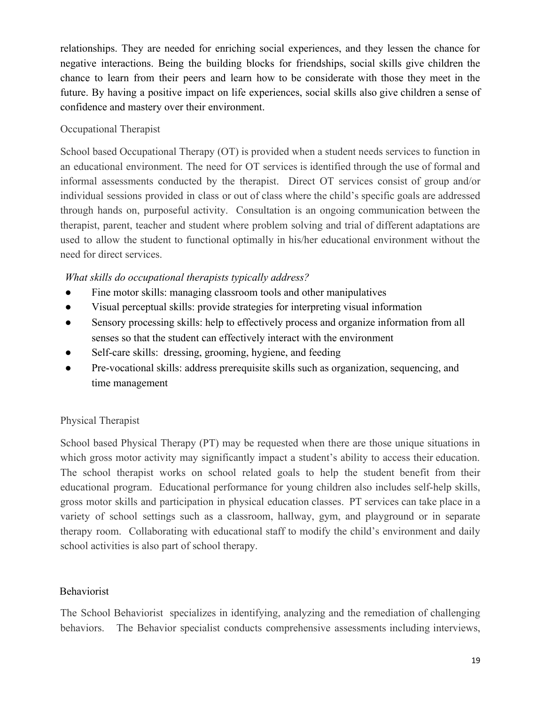relationships. They are needed for enriching social experiences, and they lessen the chance for negative interactions. Being the building blocks for friendships, social skills give children the chance to learn from their peers and learn how to be considerate with those they meet in the future. By having a positive impact on life experiences, social skills also give children a sense of confidence and mastery over their environment.

## Occupational Therapist

School based Occupational Therapy (OT) is provided when a student needs services to function in an educational environment. The need for OT services is identified through the use of formal and informal assessments conducted by the therapist. Direct OT services consist of group and/or individual sessions provided in class or out of class where the child's specific goals are addressed through hands on, purposeful activity. Consultation is an ongoing communication between the therapist, parent, teacher and student where problem solving and trial of different adaptations are used to allow the student to functional optimally in his/her educational environment without the need for direct services.

## *What skills do occupational therapists typically address?*

- Fine motor skills: managing classroom tools and other manipulatives
- Visual perceptual skills: provide strategies for interpreting visual information
- Sensory processing skills: help to effectively process and organize information from all senses so that the student can effectively interact with the environment
- Self-care skills: dressing, grooming, hygiene, and feeding
- Pre-vocational skills: address prerequisite skills such as organization, sequencing, and time management

## Physical Therapist

School based Physical Therapy (PT) may be requested when there are those unique situations in which gross motor activity may significantly impact a student's ability to access their education. The school therapist works on school related goals to help the student benefit from their educational program. Educational performance for young children also includes self-help skills, gross motor skills and participation in physical education classes. PT services can take place in a variety of school settings such as a classroom, hallway, gym, and playground or in separate therapy room. Collaborating with educational staff to modify the child's environment and daily school activities is also part of school therapy.

#### Behaviorist

The School Behaviorist specializes in identifying, analyzing and the remediation of challenging behaviors. The Behavior specialist conducts comprehensive assessments including interviews,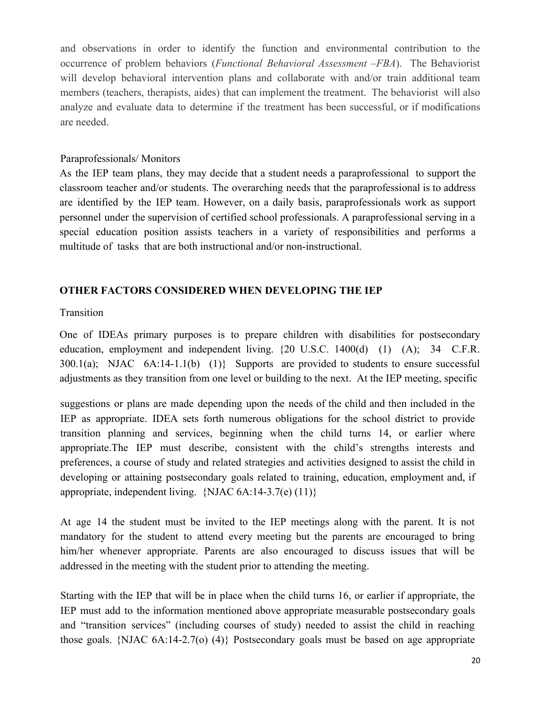and observations in order to identify the function and environmental contribution to the occurrence of problem behaviors (*Functional Behavioral Assessment –FBA*). The Behaviorist will develop behavioral intervention plans and collaborate with and/or train additional team members (teachers, therapists, aides) that can implement the treatment. The behaviorist will also analyze and evaluate data to determine if the treatment has been successful, or if modifications are needed.

#### Paraprofessionals/ Monitors

As the IEP team plans, they may decide that a student needs a paraprofessional to support the classroom teacher and/or students. The overarching needs that the paraprofessional is to address are identified by the IEP team. However, on a daily basis, paraprofessionals work as support personnel under the supervision of certified school professionals. A paraprofessional serving in a special education position assists teachers in a variety of responsibilities and performs a multitude of tasks that are both instructional and/or non-instructional.

#### **OTHER FACTORS CONSIDERED WHEN DEVELOPING THE IEP**

#### Transition

One of IDEAs primary purposes is to prepare children with disabilities for postsecondary education, employment and independent living. {20 U.S.C. 1400(d) (1) (A); 34 C.F.R.  $300.1(a)$ ; NJAC  $6A:14-1.1(b)$  (1)} Supports are provided to students to ensure successful adjustments as they transition from one level or building to the next. At the IEP meeting, specific

suggestions or plans are made depending upon the needs of the child and then included in the IEP as appropriate. IDEA sets forth numerous obligations for the school district to provide transition planning and services, beginning when the child turns 14, or earlier where appropriate.The IEP must describe, consistent with the child's strengths interests and preferences, a course of study and related strategies and activities designed to assist the child in developing or attaining postsecondary goals related to training, education, employment and, if appropriate, independent living.  $\{NJAC 6A:14-3.7(e) (11)\}$ 

At age 14 the student must be invited to the IEP meetings along with the parent. It is not mandatory for the student to attend every meeting but the parents are encouraged to bring him/her whenever appropriate. Parents are also encouraged to discuss issues that will be addressed in the meeting with the student prior to attending the meeting.

Starting with the IEP that will be in place when the child turns 16, or earlier if appropriate, the IEP must add to the information mentioned above appropriate measurable postsecondary goals and "transition services" (including courses of study) needed to assist the child in reaching those goals. {NJAC 6A:14-2.7(o) (4)} Postsecondary goals must be based on age appropriate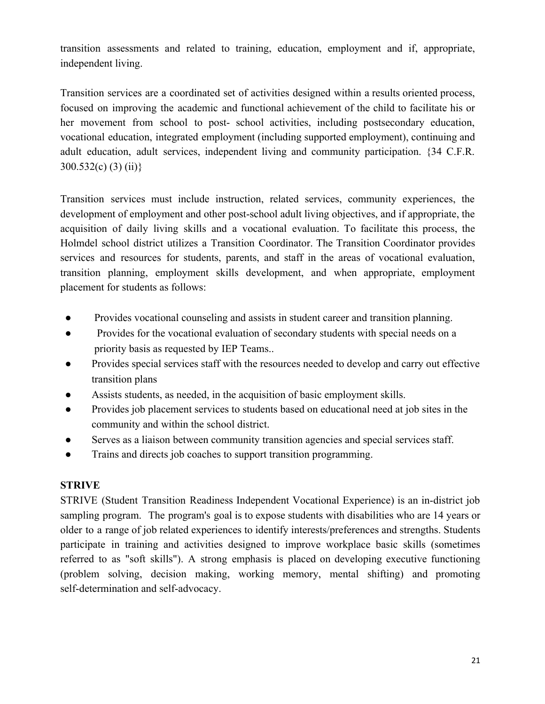transition assessments and related to training, education, employment and if, appropriate, independent living.

Transition services are a coordinated set of activities designed within a results oriented process, focused on improving the academic and functional achievement of the child to facilitate his or her movement from school to post- school activities, including postsecondary education, vocational education, integrated employment (including supported employment), continuing and adult education, adult services, independent living and community participation. {34 C.F.R. 300.532(c) (3) (ii)}

Transition services must include instruction, related services, community experiences, the development of employment and other post-school adult living objectives, and if appropriate, the acquisition of daily living skills and a vocational evaluation. To facilitate this process, the Holmdel school district utilizes a Transition Coordinator. The Transition Coordinator provides services and resources for students, parents, and staff in the areas of vocational evaluation, transition planning, employment skills development, and when appropriate, employment placement for students as follows:

- Provides vocational counseling and assists in student career and transition planning.
- Provides for the vocational evaluation of secondary students with special needs on a priority basis as requested by IEP Teams..
- Provides special services staff with the resources needed to develop and carry out effective transition plans
- Assists students, as needed, in the acquisition of basic employment skills.
- Provides job placement services to students based on educational need at job sites in the community and within the school district.
- Serves as a liaison between community transition agencies and special services staff.
- Trains and directs job coaches to support transition programming.

#### **STRIVE**

STRIVE (Student Transition Readiness Independent Vocational Experience) is an in-district job sampling program. The program's goal is to expose students with disabilities who are 14 years or older to a range of job related experiences to identify interests/preferences and strengths. Students participate in training and activities designed to improve workplace basic skills (sometimes referred to as "soft skills"). A strong emphasis is placed on developing executive functioning (problem solving, decision making, working memory, mental shifting) and promoting self-determination and self-advocacy.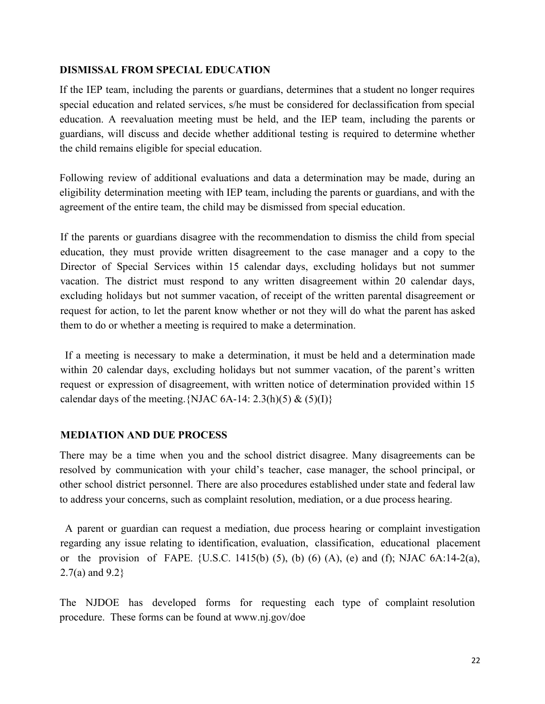#### **DISMISSAL FROM SPECIAL EDUCATION**

If the IEP team, including the parents or guardians, determines that a student no longer requires special education and related services, s/he must be considered for declassification from special education. A reevaluation meeting must be held, and the IEP team, including the parents or guardians, will discuss and decide whether additional testing is required to determine whether the child remains eligible for special education.

Following review of additional evaluations and data a determination may be made, during an eligibility determination meeting with IEP team, including the parents or guardians, and with the agreement of the entire team, the child may be dismissed from special education.

If the parents or guardians disagree with the recommendation to dismiss the child from special education, they must provide written disagreement to the case manager and a copy to the Director of Special Services within 15 calendar days, excluding holidays but not summer vacation. The district must respond to any written disagreement within 20 calendar days, excluding holidays but not summer vacation, of receipt of the written parental disagreement or request for action, to let the parent know whether or not they will do what the parent has asked them to do or whether a meeting is required to make a determination.

If a meeting is necessary to make a determination, it must be held and a determination made within 20 calendar days, excluding holidays but not summer vacation, of the parent's written request or expression of disagreement, with written notice of determination provided within 15 calendar days of the meeting. {NJAC 6A-14:  $2.3(h)(5) \& (5)(I)$ }

#### **MEDIATION AND DUE PROCESS**

There may be a time when you and the school district disagree. Many disagreements can be resolved by communication with your child's teacher, case manager, the school principal, or other school district personnel. There are also procedures established under state and federal law to address your concerns, such as complaint resolution, mediation, or a due process hearing.

A parent or guardian can request a mediation, due process hearing or complaint investigation regarding any issue relating to identification, evaluation, classification, educational placement or the provision of FAPE. {U.S.C. 1415(b) (5), (b) (6) (A), (e) and (f); NJAC  $6A:14-2(a)$ , 2.7(a) and 9.2}

The NJDOE has developed forms for requesting each type of complaint resolution procedure. These forms can be found at www.nj.gov/doe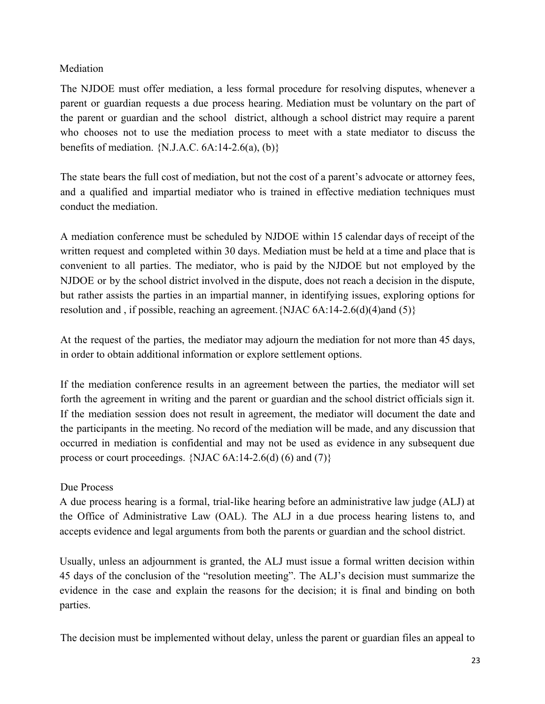## Mediation

The NJDOE must offer mediation, a less formal procedure for resolving disputes, whenever a parent or guardian requests a due process hearing. Mediation must be voluntary on the part of the parent or guardian and the school district, although a school district may require a parent who chooses not to use the mediation process to meet with a state mediator to discuss the benefits of mediation.  $\{N.J.A.C. 6A:14-2.6(a), (b)\}\$ 

The state bears the full cost of mediation, but not the cost of a parent's advocate or attorney fees, and a qualified and impartial mediator who is trained in effective mediation techniques must conduct the mediation.

A mediation conference must be scheduled by NJDOE within 15 calendar days of receipt of the written request and completed within 30 days. Mediation must be held at a time and place that is convenient to all parties. The mediator, who is paid by the NJDOE but not employed by the NJDOE or by the school district involved in the dispute, does not reach a decision in the dispute, but rather assists the parties in an impartial manner, in identifying issues, exploring options for resolution and , if possible, reaching an agreement.{NJAC 6A:14-2.6(d)(4)and (5)}

At the request of the parties, the mediator may adjourn the mediation for not more than 45 days, in order to obtain additional information or explore settlement options.

If the mediation conference results in an agreement between the parties, the mediator will set forth the agreement in writing and the parent or guardian and the school district officials sign it. If the mediation session does not result in agreement, the mediator will document the date and the participants in the meeting. No record of the mediation will be made, and any discussion that occurred in mediation is confidential and may not be used as evidence in any subsequent due process or court proceedings.  $\{NJAC 6A: 14-2.6(d) (6) \text{ and } (7)\}$ 

#### Due Process

A due process hearing is a formal, trial-like hearing before an administrative law judge (ALJ) at the Office of Administrative Law (OAL). The ALJ in a due process hearing listens to, and accepts evidence and legal arguments from both the parents or guardian and the school district.

Usually, unless an adjournment is granted, the ALJ must issue a formal written decision within 45 days of the conclusion of the "resolution meeting". The ALJ's decision must summarize the evidence in the case and explain the reasons for the decision; it is final and binding on both parties.

The decision must be implemented without delay, unless the parent or guardian files an appeal to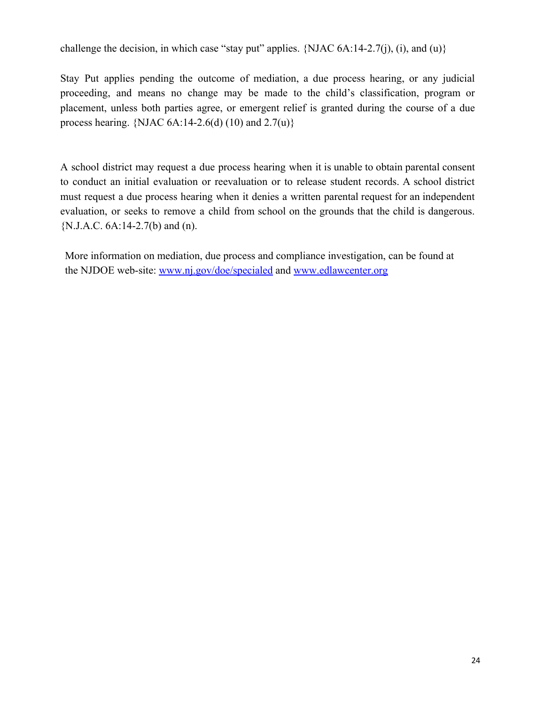challenge the decision, in which case "stay put" applies. {NJAC  $6A:14-2.7(i)$ , (i), and (u)}

Stay Put applies pending the outcome of mediation, a due process hearing, or any judicial proceeding, and means no change may be made to the child's classification, program or placement, unless both parties agree, or emergent relief is granted during the course of a due process hearing. {NJAC  $6A:14-2.6(d)$  (10) and  $2.7(u)$ }

A school district may request a due process hearing when it is unable to obtain parental consent to conduct an initial evaluation or reevaluation or to release student records. A school district must request a due process hearing when it denies a written parental request for an independent evaluation, or seeks to remove a child from school on the grounds that the child is dangerous. {N.J.A.C. 6A:14-2.7(b) and (n).

More information on mediation, due process and compliance investigation, can be found at the NJDOE web-site: [www.nj.gov/doe/specialed](http://www.nj.gov/doe/specialed) and [www.edlawcenter.org](http://www.edlawcenter.org/)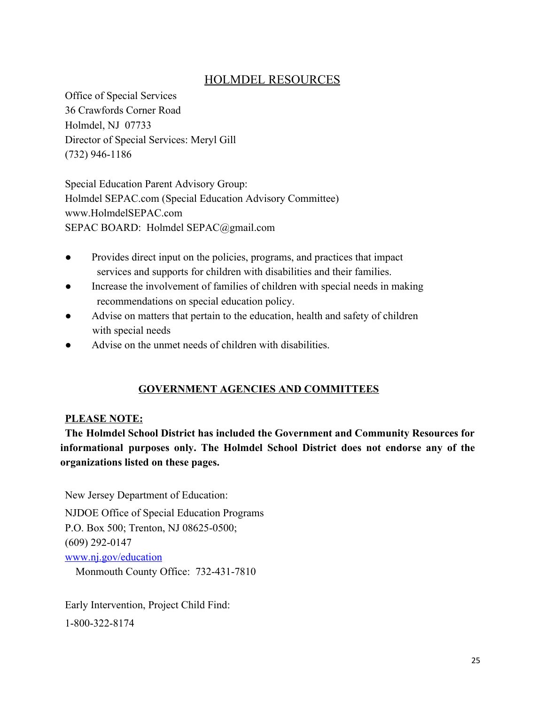## HOLMDEL RESOURCES

Office of Special Services 36 Crawfords Corner Road Holmdel, NJ 07733 Director of Special Services: Meryl Gill (732) 946-1186

Special Education Parent Advisory Group: Holmdel SEPAC.com (Special Education Advisory Committee) www.HolmdelSEPAC.com SEPAC BOARD: Holmdel SEPAC@gmail.com

- Provides direct input on the policies, programs, and practices that impact services and supports for children with disabilities and their families.
- Increase the involvement of families of children with special needs in making recommendations on special education policy.
- Advise on matters that pertain to the education, health and safety of children with special needs
- Advise on the unmet needs of children with disabilities.

## **GOVERNMENT AGENCIES AND COMMITTEES**

#### **PLEASE NOTE:**

**The Holmdel School District has included the Government and Community Resources for informational purposes only. The Holmdel School District does not endorse any of the organizations listed on these pages.**

New Jersey Department of Education:

NJDOE Office of Special Education Programs P.O. Box 500; Trenton, NJ 08625-0500; (609) 292-0147 [www.nj.gov/education](http://www.nj.gov/education) Monmouth County Office: 732-431-7810

Early Intervention, Project Child Find: 1-800-322-8174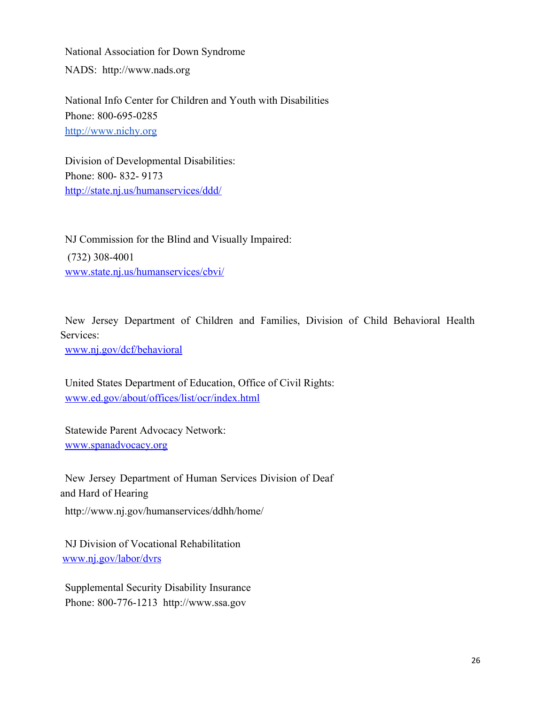National Association for Down Syndrome NADS: http://www.nads.org

National Info Center for Children and Youth with Disabilities Phone: 800-695-0285 [http://www.nichy.org](http://www.nichy.org/)

Division of Developmental Disabilities: Phone: 800- 832- 9173 <http://state.nj.us/humanservices/ddd/>

NJ Commission for the Blind and Visually Impaired: (732) 308-4001 [www.state.nj.us/humanservices/cbvi/](http://www.state.nj.us/humanservices/cbvi/)

New Jersey Department of Children and Families, Division of Child Behavioral Health Services:

[www.nj.gov/dcf/behavioral](http://www.nj.gov/dcf/behavioral)

United States Department of Education, Office of Civil Rights: [www.ed.gov/about/offices/list/ocr/index.html](http://www.ed.gov/about/offices/list/ocr/index.html)

Statewide Parent Advocacy Network: [www.spanadvocacy.org](http://www.spannj.org/)

New Jersey Department of Human Services Division of Deaf and Hard of Hearing http://www.nj.gov/humanservices/ddhh/home/

NJ Division of Vocational Rehabilitation [www.nj.gov/labor/dvrs](http://www.nj.gov/labor/dvrs)

Supplemental Security Disability Insurance Phone: 800-776-1213 http://www.ssa.gov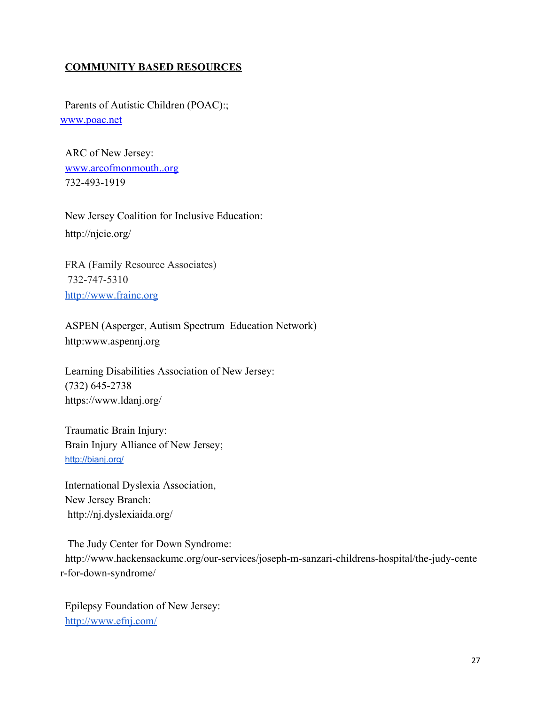## **COMMUNITY BASED RESOURCES**

Parents of Autistic Children (POAC):; [www.poac.net](http://www.poac.net/)

ARC of New Jersey: [www.arcofmonmouth..org](http://www.arcnj.org/) 732-493-1919

New Jersey Coalition for Inclusive Education: http://njcie.org/

FRA (Family Resource Associates) 732-747-5310 [http://www.frainc.org](http://www.frainc.org/)

ASPEN (Asperger, Autism Spectrum Education Network) http:www.aspennj.org

Learning Disabilities Association of New Jersey: (732) 645-2738 https://www.ldanj.org/

Traumatic Brain Injury: Brain Injury Alliance of New Jersey; <http://bianj.org/>

International Dyslexia Association, New Jersey Branch: http://nj.dyslexiaida.org/

 The Judy Center for Down Syndrome: http://www.hackensackumc.org/our-services/joseph-m-sanzari-childrens-hospital/the-judy-cente r-for-down-syndrome/

Epilepsy Foundation of New Jersey: <http://www.efnj.com/>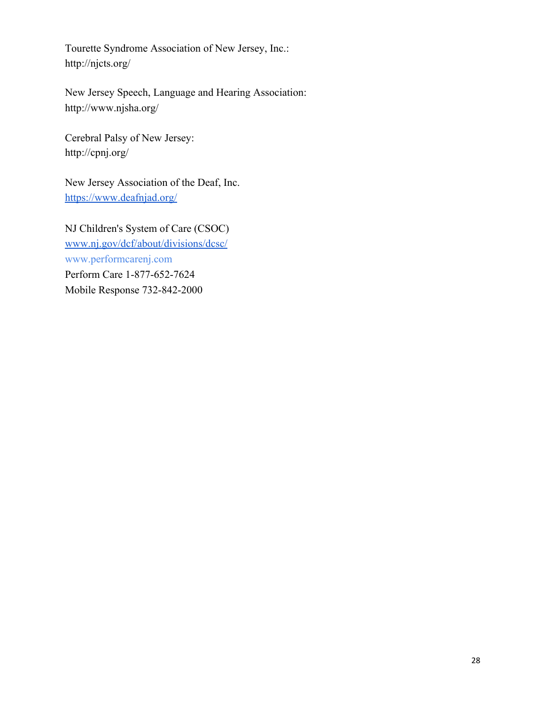Tourette Syndrome Association of New Jersey, Inc.: http://njcts.org/

New Jersey Speech, Language and Hearing Association: http://www.njsha.org/

Cerebral Palsy of New Jersey: http://cpnj.org/

New Jersey Association of the Deaf, Inc. <https://www.deafnjad.org/>

NJ Children's System of Care (CSOC) [www.nj.gov/dcf/about/divisions/dcsc/](http://www.nj.gov/dcf/about/divisions/dcsc/) www.performcarenj.com Perform Care 1-877-652-7624 Mobile Response 732-842-2000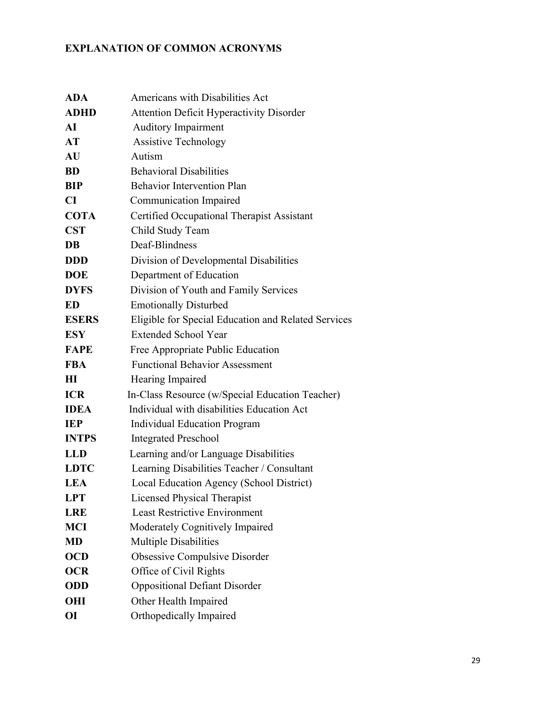## **EXPLANATION OF COMMON ACRONYMS**

| <b>ADA</b>   | Americans with Disabilities Act                     |
|--------------|-----------------------------------------------------|
| <b>ADHD</b>  | <b>Attention Deficit Hyperactivity Disorder</b>     |
| AI           | <b>Auditory Impairment</b>                          |
| AT           | <b>Assistive Technology</b>                         |
| AU           | Autism                                              |
| <b>BD</b>    | <b>Behavioral Disabilities</b>                      |
| BIP          | <b>Behavior Intervention Plan</b>                   |
| CI           | <b>Communication Impaired</b>                       |
| <b>COTA</b>  | Certified Occupational Therapist Assistant          |
| <b>CST</b>   | Child Study Team                                    |
| DB           | Deaf-Blindness                                      |
| <b>DDD</b>   | Division of Developmental Disabilities              |
| <b>DOE</b>   | Department of Education                             |
| <b>DYFS</b>  | Division of Youth and Family Services               |
| <b>ED</b>    | <b>Emotionally Disturbed</b>                        |
| <b>ESERS</b> | Eligible for Special Education and Related Services |
| <b>ESY</b>   | <b>Extended School Year</b>                         |
| <b>FAPE</b>  | Free Appropriate Public Education                   |
| <b>FBA</b>   | <b>Functional Behavior Assessment</b>               |
| $\mathbf{H}$ | Hearing Impaired                                    |
| <b>ICR</b>   | In-Class Resource (w/Special Education Teacher)     |
| <b>IDEA</b>  | Individual with disabilities Education Act          |
| <b>IEP</b>   | <b>Individual Education Program</b>                 |
| <b>INTPS</b> | <b>Integrated Preschool</b>                         |
| <b>LLD</b>   | Learning and/or Language Disabilities               |
| <b>LDTC</b>  | Learning Disabilities Teacher / Consultant          |
| <b>LEA</b>   | Local Education Agency (School District)            |
| <b>LPT</b>   | <b>Licensed Physical Therapist</b>                  |
| <b>LRE</b>   | <b>Least Restrictive Environment</b>                |
| <b>MCI</b>   | Moderately Cognitively Impaired                     |
| <b>MD</b>    | <b>Multiple Disabilities</b>                        |
| <b>OCD</b>   | <b>Obsessive Compulsive Disorder</b>                |
| <b>OCR</b>   | Office of Civil Rights                              |
| <b>ODD</b>   | <b>Oppositional Defiant Disorder</b>                |
| OHI          | Other Health Impaired                               |
| <b>OI</b>    | Orthopedically Impaired                             |